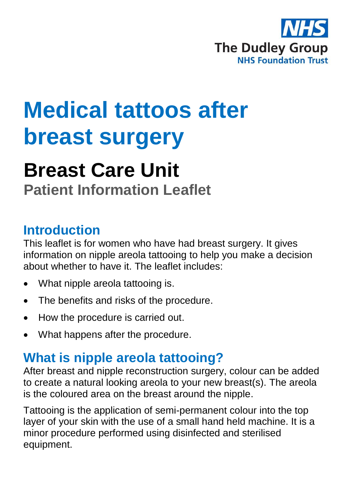

# **Medical tattoos after breast surgery**

## **Breast Care Unit**

**Patient Information Leaflet**

#### **Introduction**

This leaflet is for women who have had breast surgery. It gives information on nipple areola tattooing to help you make a decision about whether to have it. The leaflet includes:

- What nipple areola tattooing is.
- The benefits and risks of the procedure.
- How the procedure is carried out.
- What happens after the procedure.

### **What is nipple areola tattooing?**

After breast and nipple reconstruction surgery, colour can be added to create a natural looking areola to your new breast(s). The areola is the coloured area on the breast around the nipple.

Tattooing is the application of semi-permanent colour into the top layer of your skin with the use of a small hand held machine. It is a minor procedure performed using disinfected and sterilised equipment.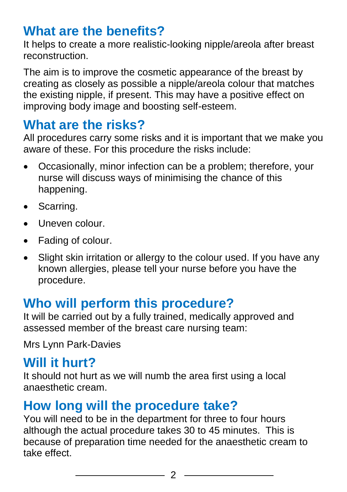#### **What are the benefits?**

It helps to create a more realistic-looking nipple/areola after breast reconstruction.

The aim is to improve the cosmetic appearance of the breast by creating as closely as possible a nipple/areola colour that matches the existing nipple, if present. This may have a positive effect on improving body image and boosting self-esteem.

#### **What are the risks?**

All procedures carry some risks and it is important that we make you aware of these. For this procedure the risks include:

- Occasionally, minor infection can be a problem; therefore, your nurse will discuss ways of minimising the chance of this happening.
- Scarring.
- Uneven colour.
- Fading of colour.
- Slight skin irritation or allergy to the colour used. If you have any known allergies, please tell your nurse before you have the procedure.

### **Who will perform this procedure?**

It will be carried out by a fully trained, medically approved and assessed member of the breast care nursing team:

Mrs Lynn Park-Davies

#### **Will it hurt?**

It should not hurt as we will numb the area first using a local anaesthetic cream.

### **How long will the procedure take?**

You will need to be in the department for three to four hours although the actual procedure takes 30 to 45 minutes. This is because of preparation time needed for the anaesthetic cream to take effect.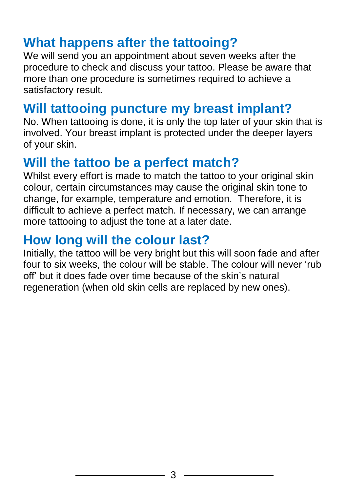#### **What happens after the tattooing?**

We will send you an appointment about seven weeks after the procedure to check and discuss your tattoo. Please be aware that more than one procedure is sometimes required to achieve a satisfactory result.

### **Will tattooing puncture my breast implant?**

No. When tattooing is done, it is only the top later of your skin that is involved. Your breast implant is protected under the deeper layers of your skin.

#### **Will the tattoo be a perfect match?**

Whilst every effort is made to match the tattoo to your original skin colour, certain circumstances may cause the original skin tone to change, for example, temperature and emotion. Therefore, it is difficult to achieve a perfect match. If necessary, we can arrange more tattooing to adjust the tone at a later date.

#### **How long will the colour last?**

Initially, the tattoo will be very bright but this will soon fade and after four to six weeks, the colour will be stable. The colour will never 'rub off' but it does fade over time because of the skin's natural regeneration (when old skin cells are replaced by new ones).